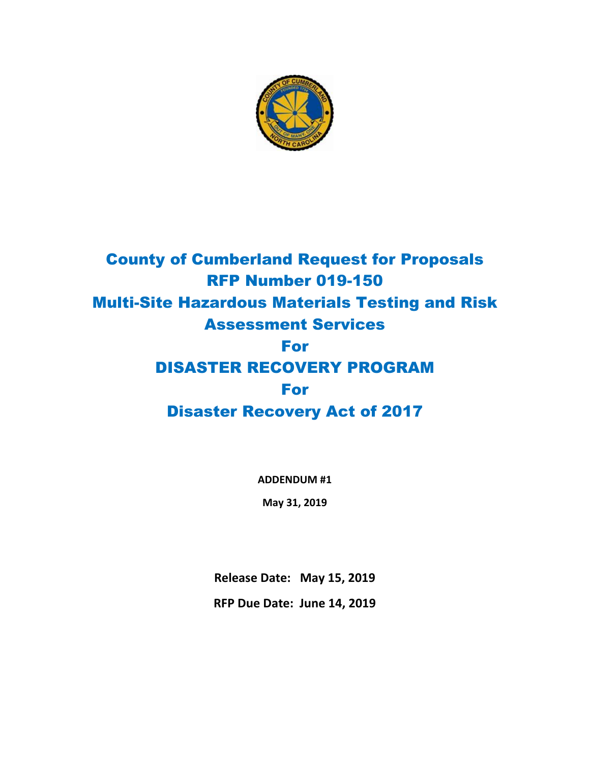

## County of Cumberland Request for Proposals RFP Number 019-150 Multi-Site Hazardous Materials Testing and Risk Assessment Services For DISASTER RECOVERY PROGRAM For Disaster Recovery Act of 2017

**ADDENDUM #1**

**May 31, 2019**

**Release Date: May 15, 2019**

**RFP Due Date: June 14, 2019**